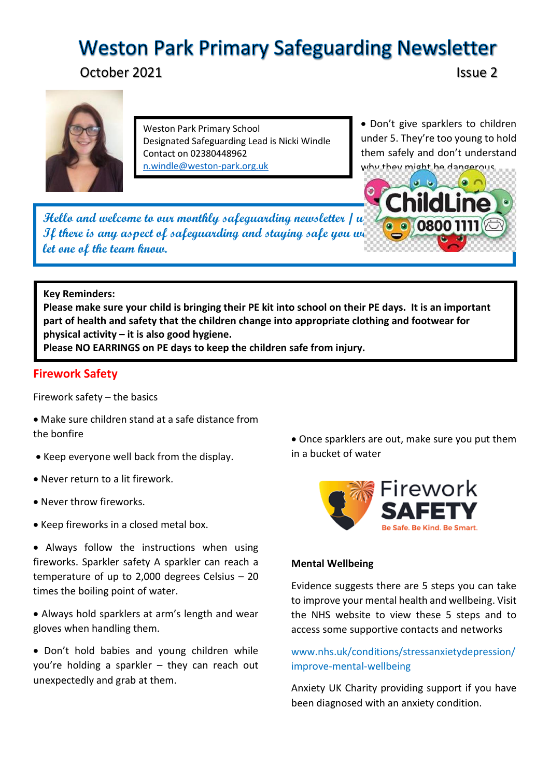# **Weston Park Primary Safeguarding Newsletter**

October 2021 **Issue 2** 



Weston Park Primary School Designated Safeguarding Lead is Nicki Windle Contact on 02380448962 [n.windle@weston-park.org.uk](mailto:n.windle@weston-park.org.uk)

• Don't give sparklers to children under 5. They're too young to hold them safely and don't understand why they might he dangerous

**Hello and welcome to our monthly safeguarding newsletter / u If there is any aspect of safeguarding and staying safe you we are pleased and staying safe with us to share please it let one of the team know.** 

## **Key Reminders:**

**Please make sure your child is bringing their PE kit into school on their PE days. It is an important part of health and safety that the children change into appropriate clothing and footwear for physical activity – it is also good hygiene.** 

**Please NO EARRINGS on PE days to keep the children safe from injury.** 

## **Firework Safety**

Firework safety – the basics

- Make sure children stand at a safe distance from the bonfire
- Keep everyone well back from the display.
- Never return to a lit firework.
- Never throw fireworks.
- Keep fireworks in a closed metal box.

• Always follow the instructions when using fireworks. Sparkler safety A sparkler can reach a temperature of up to 2,000 degrees Celsius – 20 times the boiling point of water.

 Always hold sparklers at arm's length and wear gloves when handling them.

 Don't hold babies and young children while you're holding a sparkler – they can reach out unexpectedly and grab at them.

 Once sparklers are out, make sure you put them in a bucket of water



#### **Mental Wellbeing**

Evidence suggests there are 5 steps you can take to improve your mental health and wellbeing. Visit the NHS website to view these 5 steps and to access some supportive contacts and networks

# www.nhs.uk/conditions/stressanxietydepression/ improve-mental-wellbeing

Anxiety UK Charity providing support if you have been diagnosed with an anxiety condition.